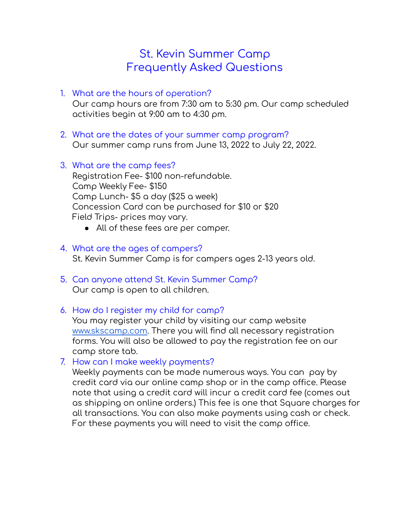# St. Kevin Summer Camp Frequently Asked Questions

- 1. What are the hours of operation? Our camp hours are from 7:30 am to 5:30 pm. Our camp scheduled activities begin at 9:00 am to 4:30 pm.
- 2. What are the dates of your summer camp program? Our summer camp runs from June 13, 2022 to July 22, 2022.
- 3. What are the camp fees? Registration Fee- \$100 non-refundable. Camp Weekly Fee- \$150 Camp Lunch- \$5 a day (\$25 a week) Concession Card can be purchased for \$10 or \$20 Field Trips- prices may vary.
	- All of these fees are per camper.

# 4. What are the ages of campers? St. Kevin Summer Camp is for campers ages 2-13 years old.

- 5. Can anyone attend St. Kevin Summer Camp? Our camp is open to all children.
- 6. How do I register my child for camp?

You may register your child by visiting our camp website [www.skscamp.com](http://www.skscamp.com). There you will find all necessary registration forms. You will also be allowed to pay the registration fee on our camp store tab.

7. How can I make weekly payments?

Weekly payments can be made numerous ways. You can pay by credit card via our online camp shop or in the camp office. Please note that using a credit card will incur a credit card fee (comes out as shipping on online orders.) This fee is one that Square charges for all transactions. You can also make payments using cash or check. For these payments you will need to visit the camp office.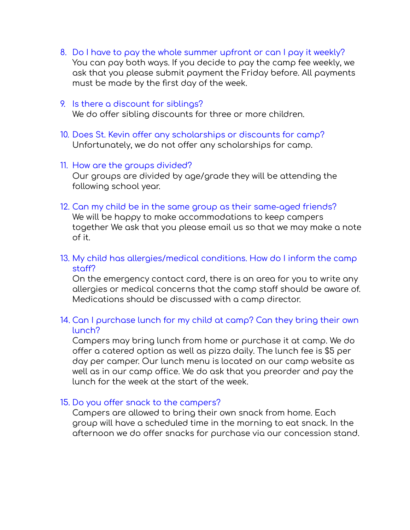8. Do I have to pay the whole summer upfront or can I pay it weekly? You can pay both ways. If you decide to pay the camp fee weekly, we ask that you please submit payment the Friday before. All payments must be made by the first day of the week.

### 9. Is there a discount for siblings?

We do offer sibling discounts for three or more children.

10. Does St. Kevin offer any scholarships or discounts for camp? Unfortunately, we do not offer any scholarships for camp.

### 11. How are the groups divided?

Our groups are divided by age/grade they will be attending the following school year.

12. Can my child be in the same group as their same-aged friends? We will be happy to make accommodations to keep campers together We ask that you please email us so that we may make a note of it.

# 13. My child has allergies/medical conditions. How do I inform the camp staff?

On the emergency contact card, there is an area for you to write any allergies or medical concerns that the camp staff should be aware of. Medications should be discussed with a camp director.

## 14. Can I purchase lunch for my child at camp? Can they bring their own lunch?

Campers may bring lunch from home or purchase it at camp. We do offer a catered option as well as pizza daily. The lunch fee is \$5 per day per camper. Our lunch menu is located on our camp website as well as in our camp office. We do ask that you preorder and pay the lunch for the week at the start of the week.

### 15. Do you offer snack to the campers?

Campers are allowed to bring their own snack from home. Each group will have a scheduled time in the morning to eat snack. In the afternoon we do offer snacks for purchase via our concession stand.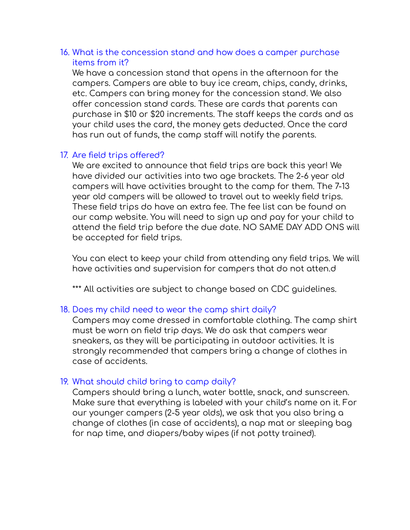### 16. What is the concession stand and how does a camper purchase items from it?

We have a concession stand that opens in the afternoon for the campers. Campers are able to buy ice cream, chips, candy, drinks, etc. Campers can bring money for the concession stand. We also offer concession stand cards. These are cards that parents can purchase in \$10 or \$20 increments. The staff keeps the cards and as your child uses the card, the money gets deducted. Once the card has run out of funds, the camp staff will notify the parents.

# 17. Are field trips offered?

We are excited to announce that field trips are back this year! We have divided our activities into two age brackets. The 2-6 year old campers will have activities brought to the camp for them. The 7-13 year old campers will be allowed to travel out to weekly field trips. These field trips do have an extra fee. The fee list can be found on our camp website. You will need to sign up and pay for your child to attend the field trip before the due date. NO SAME DAY ADD ONS will be accepted for field trips.

You can elect to keep your child from attending any field trips. We will have activities and supervision for campers that do not atten.d

\*\*\* All activities are subject to change based on CDC guidelines.

# 18. Does my child need to wear the camp shirt daily?

Campers may come dressed in comfortable clothing. The camp shirt must be worn on field trip days. We do ask that campers wear sneakers, as they will be participating in outdoor activities. It is strongly recommended that campers bring a change of clothes in case of accidents.

# 19. What should child bring to camp daily?

Campers should bring a lunch, water bottle, snack, and sunscreen. Make sure that everything is labeled with your child's name on it. For our younger campers (2-5 year olds), we ask that you also bring a change of clothes (in case of accidents), a nap mat or sleeping bag for nap time, and diapers/baby wipes (if not potty trained).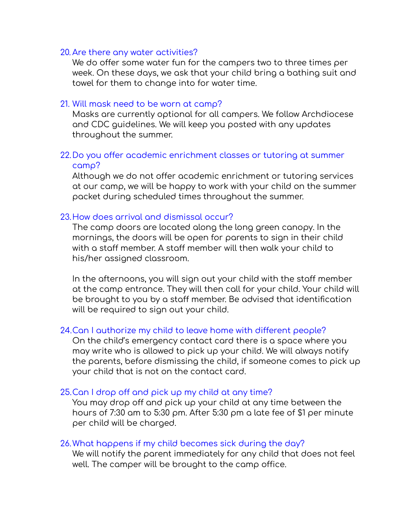#### 20. Are there any water activities?

We do offer some water fun for the campers two to three times per week. On these days, we ask that your child bring a bathing suit and towel for them to change into for water time.

#### 21. Will mask need to be worn at camp?

Masks are currently optional for all campers. We follow Archdiocese and CDC guidelines. We will keep you posted with any updates throughout the summer.

### 22.Do you offer academic enrichment classes or tutoring at summer camp?

Although we do not offer academic enrichment or tutoring services at our camp, we will be happy to work with your child on the summer packet during scheduled times throughout the summer.

### 23.How does arrival and dismissal occur?

The camp doors are located along the long green canopy. In the mornings, the doors will be open for parents to sign in their child with a staff member. A staff member will then walk your child to his/her assigned classroom.

In the afternoons, you will sign out your child with the staff member at the camp entrance. They will then call for your child. Your child will be brought to you by a staff member. Be advised that identification will be required to sign out your child.

#### 24.Can I authorize my child to leave home with different people?

On the child's emergency contact card there is a space where you may write who is allowed to pick up your child. We will always notify the parents, before dismissing the child, if someone comes to pick up your child that is not on the contact card.

#### 25.Can I drop off and pick up my child at any time?

You may drop off and pick up your child at any time between the hours of 7:30 am to 5:30 pm. After 5:30 pm a late fee of \$1 per minute per child will be charged.

#### 26.What happens if my child becomes sick during the day?

We will notify the parent immediately for any child that does not feel well. The camper will be brought to the camp office.